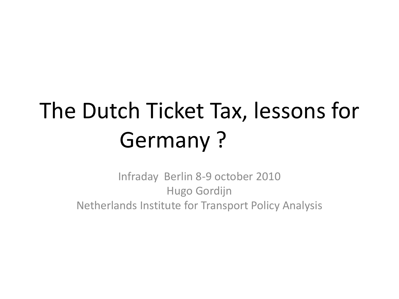# The Dutch Ticket Tax, lessons for Germany ?

Infraday Berlin 8-9 october 2010 Hugo Gordijn Netherlands Institute for Transport Policy Analysis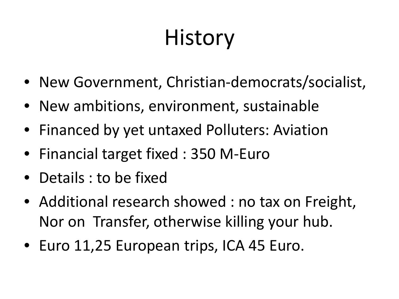## **History**

- New Government, Christian-democrats/socialist,
- New ambitions, environment, sustainable
- Financed by yet untaxed Polluters: Aviation
- Financial target fixed : 350 M-Euro
- Details : to be fixed
- Additional research showed : no tax on Freight, Nor on Transfer, otherwise killing your hub.
- Euro 11,25 European trips, ICA 45 Euro.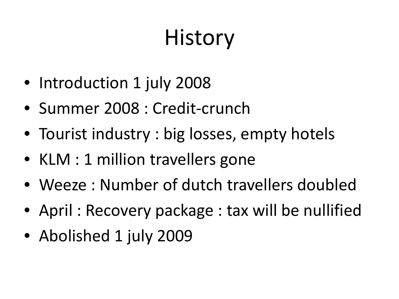## **History**

- Introduction 1 july 2008
- Summer 2008 : Credit-crunch
- Tourist industry : big losses, empty hotels
- KLM : 1 million travellers gone
- Weeze : Number of dutch travellers doubled
- April: Recovery package : tax will be nullified
- Abolished 1 july 2009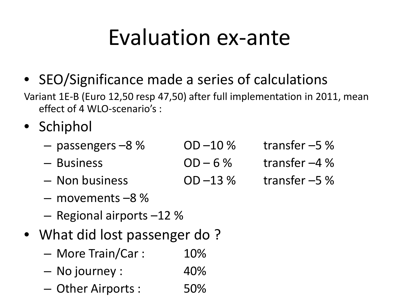## Evaluation ex-ante

• SEO/Significance made a series of calculations

Variant 1E-B (Euro 12,50 resp 47,50) after full implementation in 2011, mean effect of 4 WLO-scenario's :

- Schiphol
	- $-$  passengers  $-8\%$  OD  $-10\%$  transfer  $-5\%$ – Business OD – 6 % transfer –4 %
	- $-$  Non business  $0D-13\%$  transfer  $-5\%$
	- movements –8 %
	- Regional airports –12 %
- What did lost passenger do?
	- More Train/Car : 10%
	- No journey : 40%
	- Other Airports : 50%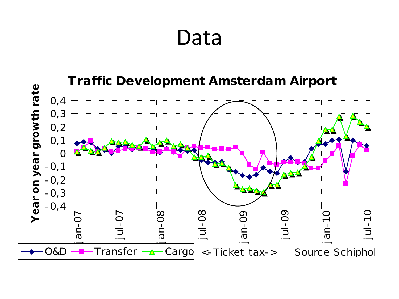## Data

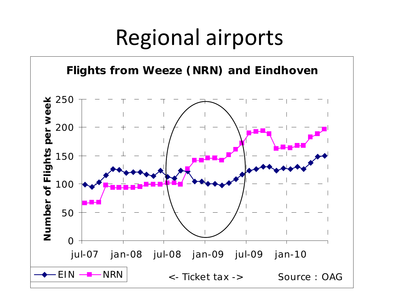## Regional airports

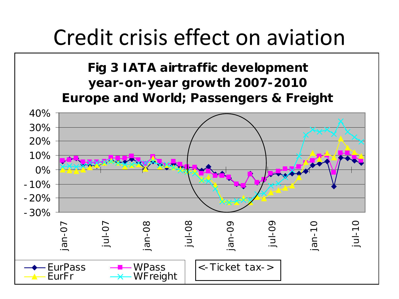### Credit crisis effect on aviation

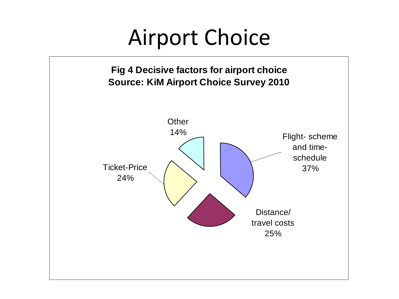### Airport Choice

**Fig 4 Decisive factors for airport choice Source: KiM Airport Choice Survey 2010**

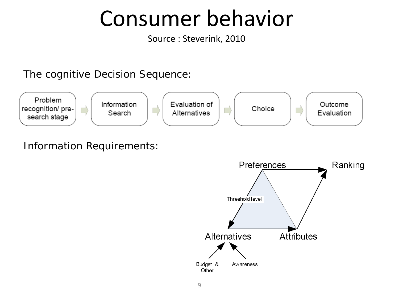### Consumer behavior

Source : Steverink, 2010

The cognitive Decision Sequence:



#### Information Requirements:

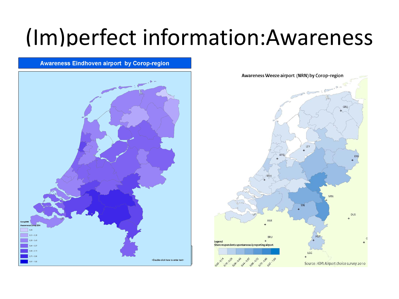## (Im)perfect information:Awareness

**Awareness Eindhoven airport by Corop-region** 



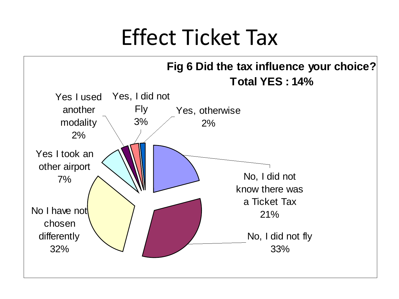### Effect Ticket Tax

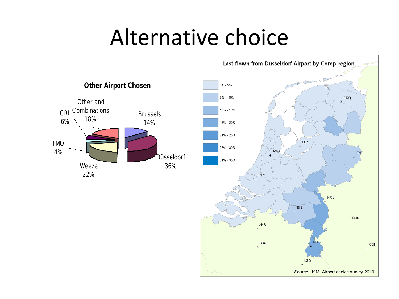## Alternative choice



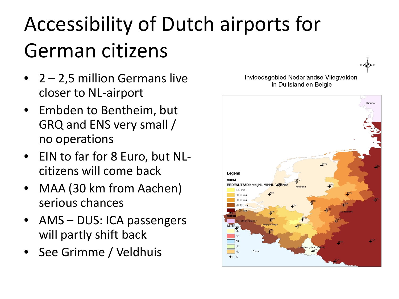## Accessibility of Dutch airports for German citizens

- 2 2,5 million Germans live closer to NL-airport
- Embden to Bentheim, but GRQ and ENS very small / no operations
- EIN to far for 8 Euro, but NLcitizens will come back
- MAA (30 km from Aachen) serious chances
- AMS DUS: ICA passengers will partly shift back
- See Grimme / Veldhuis



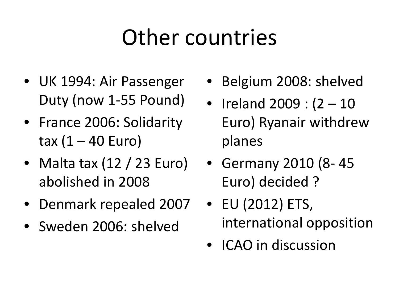## Other countries

- UK 1994: Air Passenger Duty (now 1-55 Pound)
- France 2006: Solidarity tax  $(1 - 40$  Euro)
- Malta tax (12 / 23 Euro) abolished in 2008
- Denmark repealed 2007
- Sweden 2006: shelved
- Belgium 2008: shelved
- Ireland 2009 : (2 10 Euro) Ryanair withdrew planes
- Germany 2010 (8- 45 Euro) decided ?
- EU (2012) ETS, international opposition
- ICAO in discussion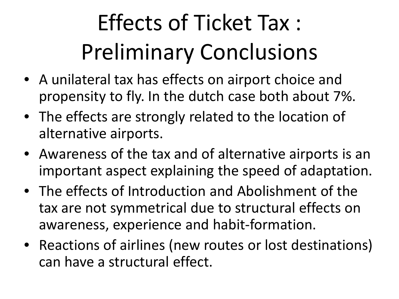# Effects of Ticket Tax : Preliminary Conclusions

- A unilateral tax has effects on airport choice and propensity to fly. In the dutch case both about 7%.
- The effects are strongly related to the location of alternative airports.
- Awareness of the tax and of alternative airports is an important aspect explaining the speed of adaptation.
- The effects of Introduction and Abolishment of the tax are not symmetrical due to structural effects on awareness, experience and habit-formation.
- Reactions of airlines (new routes or lost destinations) can have a structural effect.